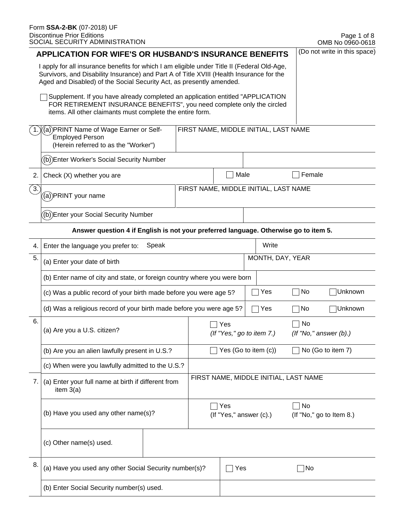|                                                                                                                                                                                                                                                                 | <b>APPLICATION FOR WIFE'S OR HUSBAND'S INSURANCE BENEFITS</b>                                                                                                                                                         |  |                                |                                  |                  |                                       |                                       | (Do not write in this space) |
|-----------------------------------------------------------------------------------------------------------------------------------------------------------------------------------------------------------------------------------------------------------------|-----------------------------------------------------------------------------------------------------------------------------------------------------------------------------------------------------------------------|--|--------------------------------|----------------------------------|------------------|---------------------------------------|---------------------------------------|------------------------------|
| I apply for all insurance benefits for which I am eligible under Title II (Federal Old-Age,<br>Survivors, and Disability Insurance) and Part A of Title XVIII (Health Insurance for the<br>Aged and Disabled) of the Social Security Act, as presently amended. |                                                                                                                                                                                                                       |  |                                |                                  |                  |                                       |                                       |                              |
|                                                                                                                                                                                                                                                                 | Supplement. If you have already completed an application entitled "APPLICATION<br>FOR RETIREMENT INSURANCE BENEFITS", you need complete only the circled<br>items. All other claimants must complete the entire form. |  |                                |                                  |                  |                                       |                                       |                              |
|                                                                                                                                                                                                                                                                 | (a) PRINT Name of Wage Earner or Self-<br><b>Employed Person</b><br>(Herein referred to as the "Worker")                                                                                                              |  |                                |                                  |                  | FIRST NAME, MIDDLE INITIAL, LAST NAME |                                       |                              |
|                                                                                                                                                                                                                                                                 | (b))Enter Worker's Social Security Number                                                                                                                                                                             |  |                                |                                  |                  |                                       |                                       |                              |
| 2.                                                                                                                                                                                                                                                              | Check (X) whether you are                                                                                                                                                                                             |  |                                | Male                             |                  |                                       | Female                                |                              |
| $\left(3\right)$                                                                                                                                                                                                                                                | ((a))PRINT your name                                                                                                                                                                                                  |  |                                |                                  |                  | FIRST NAME, MIDDLE INITIAL, LAST NAME |                                       |                              |
|                                                                                                                                                                                                                                                                 | (b))Enter your Social Security Number                                                                                                                                                                                 |  |                                |                                  |                  |                                       |                                       |                              |
|                                                                                                                                                                                                                                                                 | Answer question 4 if English is not your preferred language. Otherwise go to item 5.                                                                                                                                  |  |                                |                                  |                  |                                       |                                       |                              |
| 4.                                                                                                                                                                                                                                                              | Speak<br>Enter the language you prefer to:                                                                                                                                                                            |  |                                |                                  |                  | Write                                 |                                       |                              |
| 5.                                                                                                                                                                                                                                                              | (a) Enter your date of birth                                                                                                                                                                                          |  |                                |                                  | MONTH, DAY, YEAR |                                       |                                       |                              |
|                                                                                                                                                                                                                                                                 | (b) Enter name of city and state, or foreign country where you were born                                                                                                                                              |  |                                |                                  |                  |                                       |                                       |                              |
|                                                                                                                                                                                                                                                                 | (c) Was a public record of your birth made before you were age 5?                                                                                                                                                     |  |                                |                                  |                  | Yes                                   | No                                    | Unknown                      |
|                                                                                                                                                                                                                                                                 | (d) Was a religious record of your birth made before you were age 5?                                                                                                                                                  |  |                                |                                  |                  | Yes                                   | No                                    | Unknown                      |
| 6.                                                                                                                                                                                                                                                              | (a) Are you a U.S. citizen?                                                                                                                                                                                           |  |                                | Yes<br>(If "Yes," go to item 7.) |                  |                                       | No                                    | $($ f "No," answer $(b)$ .)  |
|                                                                                                                                                                                                                                                                 | (b) Are you an alien lawfully present in U.S.?                                                                                                                                                                        |  | Yes (Go to item (c))           |                                  |                  |                                       | No (Go to item 7)                     |                              |
|                                                                                                                                                                                                                                                                 | (c) When were you lawfully admitted to the U.S.?                                                                                                                                                                      |  |                                |                                  |                  |                                       |                                       |                              |
| 7.                                                                                                                                                                                                                                                              | (a) Enter your full name at birth if different from<br>item $3(a)$<br>(b) Have you used any other name(s)?                                                                                                            |  |                                |                                  |                  |                                       | FIRST NAME, MIDDLE INITIAL, LAST NAME |                              |
|                                                                                                                                                                                                                                                                 |                                                                                                                                                                                                                       |  | Yes<br>(If "Yes," answer (c).) |                                  |                  | No                                    | (If "No," go to Item 8.)              |                              |
|                                                                                                                                                                                                                                                                 | (c) Other name(s) used.                                                                                                                                                                                               |  |                                |                                  |                  |                                       |                                       |                              |
| 8.                                                                                                                                                                                                                                                              | (a) Have you used any other Social Security number(s)?                                                                                                                                                                |  |                                | Yes                              |                  |                                       | No                                    |                              |
|                                                                                                                                                                                                                                                                 | (b) Enter Social Security number(s) used.                                                                                                                                                                             |  |                                |                                  |                  |                                       |                                       |                              |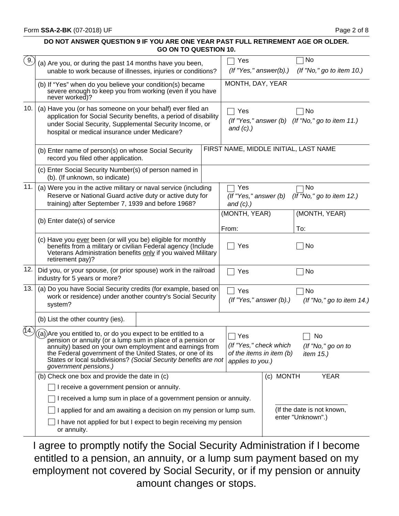#### **DO NOT ANSWER QUESTION 9 IF YOU ARE ONE YEAR PAST FULL RETIREMENT AGE OR OLDER. GO ON TO QUESTION 10.**

| $^{\circ}$ 9. | (a) Are you, or during the past 14 months have you been,<br>unable to work because of illnesses, injuries or conditions?                                                                                                                                                                                                                          | Yes<br>$($ f "Yes," answer $(b)$ .)                                           |                            | No<br>(If "No," go to item 10.)                       |  |
|---------------|---------------------------------------------------------------------------------------------------------------------------------------------------------------------------------------------------------------------------------------------------------------------------------------------------------------------------------------------------|-------------------------------------------------------------------------------|----------------------------|-------------------------------------------------------|--|
|               | (b) If "Yes" when do you believe your condition(s) became<br>severe enough to keep you from working (even if you have<br>never worked)?                                                                                                                                                                                                           | MONTH, DAY, YEAR                                                              |                            |                                                       |  |
| 10.           | (a) Have you (or has someone on your behalf) ever filed an<br>application for Social Security benefits, a period of disability<br>under Social Security, Supplemental Security Income, or<br>hospital or medical insurance under Medicare?                                                                                                        | Yes<br>and $(c)$ .)                                                           |                            | No<br>(If "Yes," answer (b) (If "No," go to item 11.) |  |
|               | (b) Enter name of person(s) on whose Social Security<br>record you filed other application.                                                                                                                                                                                                                                                       | FIRST NAME, MIDDLE INITIAL, LAST NAME                                         |                            |                                                       |  |
|               | (c) Enter Social Security Number(s) of person named in<br>(b). (If unknown, so indicate)                                                                                                                                                                                                                                                          |                                                                               |                            |                                                       |  |
| 11.           | (a) Were you in the active military or naval service (including<br>Reserve or National Guard active duty or active duty for<br>training) after September 7, 1939 and before 1968?                                                                                                                                                                 | Yes<br>(If "Yes," answer (b)<br>and $(c)$ .)                                  |                            | No<br>(If "No," go to item 12.)                       |  |
|               | (b) Enter date(s) of service                                                                                                                                                                                                                                                                                                                      | (MONTH, YEAR)<br>From:                                                        |                            | (MONTH, YEAR)<br>To:                                  |  |
|               | (c) Have you ever been (or will you be) eligible for monthly<br>benefits from a military or civilian Federal agency (Include<br>Veterans Administration benefits only if you waived Military<br>retirement pay)?                                                                                                                                  | Yes                                                                           |                            | No                                                    |  |
| 12.           | Did you, or your spouse, (or prior spouse) work in the railroad<br>industry for 5 years or more?                                                                                                                                                                                                                                                  | Yes                                                                           |                            | No                                                    |  |
| 13.           | (a) Do you have Social Security credits (for example, based on<br>work or residence) under another country's Social Security<br>system?                                                                                                                                                                                                           | Yes<br>$($ f "Yes," answer $(b)$ .)                                           |                            | No<br>(If "No," go to item 14.)                       |  |
|               | (b) List the other country (ies).                                                                                                                                                                                                                                                                                                                 |                                                                               |                            |                                                       |  |
| (14)          | (a)) Are you entitled to, or do you expect to be entitled to a<br>pension or annuity (or a lump sum in place of a pension or<br>annuity) based on your own employment and earnings from<br>the Federal government of the United States, or one of its<br>States or local subdivisions? (Social Security benefits are not<br>government pensions.) | Yes<br>(If "Yes," check which<br>of the items in item (b)<br>applies to you.) |                            | No<br>(If "No," go on to<br><i>item</i> 15.)          |  |
|               | (b) Check one box and provide the date in (c)                                                                                                                                                                                                                                                                                                     |                                                                               | (c) MONTH                  | <b>YEAR</b>                                           |  |
|               | I receive a government pension or annuity.                                                                                                                                                                                                                                                                                                        |                                                                               |                            |                                                       |  |
|               | I received a lump sum in place of a government pension or annuity.                                                                                                                                                                                                                                                                                |                                                                               |                            |                                                       |  |
|               | I applied for and am awaiting a decision on my pension or lump sum.                                                                                                                                                                                                                                                                               |                                                                               | (If the date is not known, |                                                       |  |
|               | I have not applied for but I expect to begin receiving my pension<br>or annuity.                                                                                                                                                                                                                                                                  |                                                                               |                            | enter "Unknown".)                                     |  |
|               |                                                                                                                                                                                                                                                                                                                                                   |                                                                               |                            |                                                       |  |

I agree to promptly notify the Social Security Administration if I become entitled to a pension, an annuity, or a lump sum payment based on my employment not covered by Social Security, or if my pension or annuity amount changes or stops.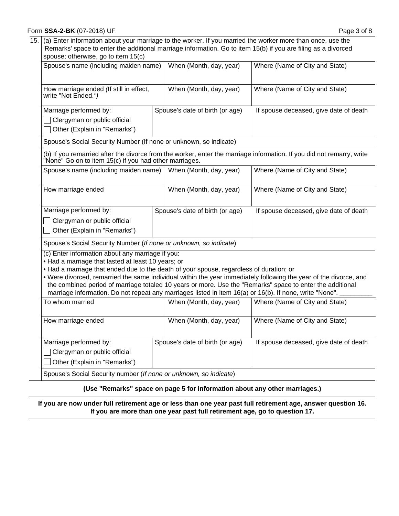#### Form **SSA-2-BK** (07-2018) UF

15. (a) Enter information about your marriage to the worker. If you married the worker more than once, use the 'Remarks' space to enter the additional marriage information. Go to item 15(b) if you are filing as a divorced spouse; otherwise, go to item  $15(c)$ 

| $\frac{1}{2}$                                                                                                                                                                                                                                                                                                |                                 |                                                                                                                                                                                                                                |
|--------------------------------------------------------------------------------------------------------------------------------------------------------------------------------------------------------------------------------------------------------------------------------------------------------------|---------------------------------|--------------------------------------------------------------------------------------------------------------------------------------------------------------------------------------------------------------------------------|
| Spouse's name (including maiden name)                                                                                                                                                                                                                                                                        | When (Month, day, year)         | Where (Name of City and State)                                                                                                                                                                                                 |
| How marriage ended (If still in effect,<br>write "Not Ended.")                                                                                                                                                                                                                                               | When (Month, day, year)         | Where (Name of City and State)                                                                                                                                                                                                 |
| Marriage performed by:<br>Clergyman or public official<br>Other (Explain in "Remarks")                                                                                                                                                                                                                       | Spouse's date of birth (or age) | If spouse deceased, give date of death                                                                                                                                                                                         |
| Spouse's Social Security Number (If none or unknown, so indicate)                                                                                                                                                                                                                                            |                                 |                                                                                                                                                                                                                                |
| None" Go on to item 15(c) if you had other marriages.                                                                                                                                                                                                                                                        |                                 | (b) If you remarried after the divorce from the worker, enter the marriage information. If you did not remarry, write                                                                                                          |
| Spouse's name (including maiden name)                                                                                                                                                                                                                                                                        | When (Month, day, year)         | Where (Name of City and State)                                                                                                                                                                                                 |
| How marriage ended                                                                                                                                                                                                                                                                                           | When (Month, day, year)         | Where (Name of City and State)                                                                                                                                                                                                 |
| Marriage performed by:<br>Clergyman or public official<br>Other (Explain in "Remarks")                                                                                                                                                                                                                       | Spouse's date of birth (or age) | If spouse deceased, give date of death                                                                                                                                                                                         |
| Spouse's Social Security Number (If none or unknown, so indicate)                                                                                                                                                                                                                                            |                                 |                                                                                                                                                                                                                                |
| (c) Enter information about any marriage if you:<br>. Had a marriage that lasted at least 10 years; or<br>. Had a marriage that ended due to the death of your spouse, regardless of duration; or<br>marriage information. Do not repeat any marriages listed in item 16(a) or 16(b). If none, write "None". |                                 | • Were divorced, remarried the same individual within the year immediately following the year of the divorce, and<br>the combined period of marriage totaled 10 years or more. Use the "Remarks" space to enter the additional |
| To whom married                                                                                                                                                                                                                                                                                              | When (Month, day, year)         | Where (Name of City and State)                                                                                                                                                                                                 |
| How marriage ended                                                                                                                                                                                                                                                                                           | When (Month, day, year)         | Where (Name of City and State)                                                                                                                                                                                                 |
| Marriage performed by:<br>Clergyman or public official<br>Other (Explain in "Remarks")                                                                                                                                                                                                                       | Spouse's date of birth (or age) | If spouse deceased, give date of death                                                                                                                                                                                         |
| Spouse's Social Security number (If none or unknown, so indicate)                                                                                                                                                                                                                                            |                                 |                                                                                                                                                                                                                                |

#### **(Use "Remarks" space on page 5 for information about any other marriages.)**

**If you are now under full retirement age or less than one year past full retirement age, answer question 16. If you are more than one year past full retirement age, go to question 17.**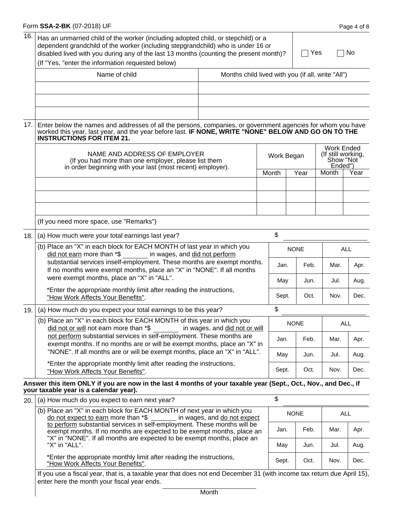|     | Form SSA-2-BK (07-2018) UF                                                                                                                                                                                                                                                                                           |       |                                                   |      |                                                                 | Page 4 of 8 |  |  |
|-----|----------------------------------------------------------------------------------------------------------------------------------------------------------------------------------------------------------------------------------------------------------------------------------------------------------------------|-------|---------------------------------------------------|------|-----------------------------------------------------------------|-------------|--|--|
| 16. | Has an unmarried child of the worker (including adopted child, or stepchild) or a<br>dependent grandchild of the worker (including stepgrandchild) who is under 16 or<br>disabled lived with you during any of the last 13 months (counting the present month)?<br>(If "Yes, "enter the information requested below) |       |                                                   | Yes  | No                                                              |             |  |  |
|     | Name of child                                                                                                                                                                                                                                                                                                        |       | Months child lived with you (if all, write "All") |      |                                                                 |             |  |  |
|     |                                                                                                                                                                                                                                                                                                                      |       |                                                   |      |                                                                 |             |  |  |
|     |                                                                                                                                                                                                                                                                                                                      |       |                                                   |      |                                                                 |             |  |  |
| 17. | Enter below the names and addresses of all the persons, companies, or government agencies for whom you have<br>worked this year, last year, and the year before last. IF NONE, WRITE "NONE" BELOW AND GO ON TO THE<br><b>INSTRUCTIONS FOR ITEM 21.</b>                                                               |       |                                                   |      |                                                                 |             |  |  |
|     | NAME AND ADDRESS OF EMPLOYER<br>(If you had more than one employer, please list them<br>in order beginning with your last (most recent) employer).                                                                                                                                                                   |       | Work Began                                        |      | <b>Work Ended</b><br>(If still working,<br>Show "Not<br>Ended") |             |  |  |
|     |                                                                                                                                                                                                                                                                                                                      |       | Month                                             | Year | Month                                                           | Year        |  |  |
|     |                                                                                                                                                                                                                                                                                                                      |       |                                                   |      |                                                                 |             |  |  |
|     | (If you need more space, use "Remarks")                                                                                                                                                                                                                                                                              |       |                                                   |      |                                                                 |             |  |  |
| 18. | \$<br>(a) How much were your total earnings last year?                                                                                                                                                                                                                                                               |       |                                                   |      |                                                                 |             |  |  |
|     | (b) Place an "X" in each block for EACH MONTH of last year in which you<br>in wages, and did not perform<br>did not earn more than *\$                                                                                                                                                                               |       | <b>NONE</b>                                       |      | <b>ALL</b>                                                      |             |  |  |
|     | substantial services inself-employment. These months are exempt months.<br>If no months were exempt months, place an "X" in "NONE". If all months<br>were exempt months, place an "X" in "ALL".                                                                                                                      | Jan.  | Feb.                                              | Mar. | Apr.                                                            |             |  |  |
|     | *Enter the appropriate monthly limit after reading the instructions,                                                                                                                                                                                                                                                 | May   | Jun.                                              | Jul. | Aug.                                                            |             |  |  |
|     | "How Work Affects Your Benefits".                                                                                                                                                                                                                                                                                    |       | Sept.                                             | Oct. | Nov.                                                            | Dec.        |  |  |
| 19. | (a) How much do you expect your total earnings to be this year?                                                                                                                                                                                                                                                      |       | \$                                                |      |                                                                 |             |  |  |
|     | (b) Place an "X" in each block for EACH MONTH of this year in which you<br>did not or will not earn more than *\$<br>in wages, and did not or will                                                                                                                                                                   |       | <b>NONE</b>                                       |      | <b>ALL</b>                                                      |             |  |  |
|     | not perform substantial services in self-employment. These months are<br>exempt months. If no months are or will be exempt months, place an "X" in                                                                                                                                                                   | Jan.  | Feb.                                              | Mar. | Apr.                                                            |             |  |  |
|     | "NONE". If all months are or will be exempt months, place an "X" in "ALL".                                                                                                                                                                                                                                           | May   | Jun.                                              | Jul. | Aug.                                                            |             |  |  |
|     | *Enter the appropriate monthly limit after reading the instructions,<br>"How Work Affects Your Benefits".                                                                                                                                                                                                            | Sept. | Oct.                                              | Nov. | Dec.                                                            |             |  |  |
|     | Answer this item ONLY if you are now in the last 4 months of your taxable year (Sept., Oct., Nov., and Dec., if<br>your taxable year is a calendar year).                                                                                                                                                            |       |                                                   |      |                                                                 |             |  |  |
| 20. | (a) How much do you expect to earn next year?                                                                                                                                                                                                                                                                        |       | \$                                                |      |                                                                 |             |  |  |
|     | (b) Place an "X" in each block for EACH MONTH of next year in which you<br>do not expect to earn more than *\$<br>in wages, and do not expect                                                                                                                                                                        |       | <b>NONE</b>                                       |      | <b>ALL</b>                                                      |             |  |  |
|     | to perform substantial services in self-employment. These months will be<br>exempt months. If no months are expected to be exempt months, place an<br>"X" in "NONE". If all months are expected to be exempt months, place an                                                                                        | Jan.  | Feb.                                              | Mar. | Apr.                                                            |             |  |  |
|     | "X" in "ALL".                                                                                                                                                                                                                                                                                                        |       | May                                               | Jun. | Jul.                                                            | Aug.        |  |  |
|     | *Enter the appropriate monthly limit after reading the instructions,<br>"How Work Affects Your Benefits".                                                                                                                                                                                                            | Sept. | Oct.                                              | Nov. | Dec.                                                            |             |  |  |

If you use a fiscal year, that is, a taxable year that does not end December 31 (with income tax return due April 15), enter here the month your fiscal year ends.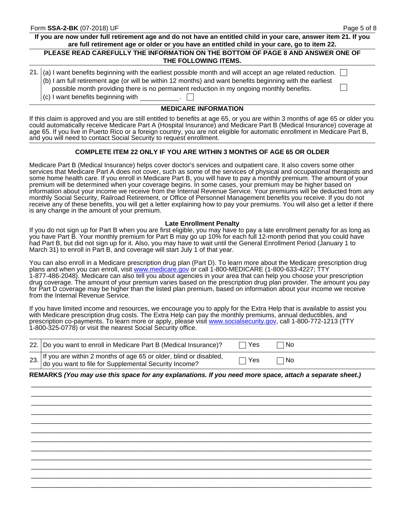$\Box$ 

 $\vert \ \ \vert$ 

# **If you are now under full retirement age and do not have an entitled child in your care, answer item 21. If you are full retirement age or older or you have an entitled child in your care, go to item 22.**

#### **PLEASE READ CAREFULLY THE INFORMATION ON THE BOTTOM OF PAGE 8 AND ANSWER ONE OF THE FOLLOWING ITEMS.**

| 21. (a) I want benefits beginning with the earliest possible month and will accept an age related reduction. |
|--------------------------------------------------------------------------------------------------------------|
| (b) I am full retirement age (or will be within 12 months) and want benefits beginning with the earliest     |
| possible month providing there is no permanent reduction in my ongoing monthly benefits.                     |

 $\vert$  (c) I want benefits beginning with

### **MEDICARE INFORMATION**

If this claim is approved and you are still entitled to benefits at age 65, or you are within 3 months of age 65 or older you could automatically receive Medicare Part A (Hospital Insurance) and Medicare Part B (Medical Insurance) coverage at age 65. If you live in Puerto Rico or a foreign country, you are not eligible for automatic enrollment in Medicare Part B, and you will need to contact Social Security to request enrollment.

#### **COMPLETE ITEM 22 ONLY IF YOU ARE WITHIN 3 MONTHS OF AGE 65 OR OLDER**

Medicare Part B (Medical Insurance) helps cover doctor's services and outpatient care. It also covers some other services that Medicare Part A does not cover, such as some of the services of physical and occupational therapists and some home health care. If you enroll in Medicare Part B, you will have to pay a monthly premium. The amount of your premium will be determined when your coverage begins. In some cases, your premium may be higher based on information about your income we receive from the Internal Revenue Service. Your premiums will be deducted from any monthly Social Security, Railroad Retirement, or Office of Personnel Management benefits you receive. If you do not receive any of these benefits, you will get a letter explaining how to pay your premiums. You will also get a letter if there is any change in the amount of your premium.

#### **Late Enrollment Penalty**

If you do not sign up for Part B when you are first eligible, you may have to pay a late enrollment penalty for as long as you have Part B. Your monthly premium for Part B may go up 10% for each full 12-month period that you could have had Part B, but did not sign up for it. Also, you may have to wait until the General Enrollment Period (January 1 to March 31) to enroll in Part B, and coverage will start July 1 of that year.

You can also enroll in a Medicare prescription drug plan (Part D). To learn more about the Medicare prescription drug plans and when you can enroll, visit <www.medicare.gov> or call 1-800-MEDICARE (1-800-633-4227; TTY 1-877-486-2048). Medicare can also tell you about agencies in your area that can help you choose your prescription drug coverage. The amount of your premium varies based on the prescription drug plan provider. The amount you pay for Part D coverage may be higher than the listed plan premium, based on information about your income we receive from the Internal Revenue Service.

If you have limited income and resources, we encourage you to apply for the Extra Help that is available to assist you with Medicare prescription drug costs. The Extra Help can pay the monthly premiums, annual deductibles, and prescription co-payments. To learn more or apply, please visit <www.socialsecurity.gov>, call 1-800-772-1213 (TTY 1-800-325-0778) or visit the nearest Social Security office.

| 22. Do you want to enroll in Medicare Part B (Medical Insurance)?                                                              | . TYes       | ∣No |  |
|--------------------------------------------------------------------------------------------------------------------------------|--------------|-----|--|
| 23. If you are within 2 months of age 65 or older, blind or disabled,<br>do you want to file for Supplemental Security Income? | $\sqcap$ Yes | ∣No |  |

#### **REMARKS** *(You may use this space for any explanations. If you need more space, attach a separate sheet.)*

\_\_\_\_\_\_\_\_\_\_\_\_\_\_\_\_\_\_\_\_\_\_\_\_\_\_\_\_\_\_\_\_\_\_\_\_\_\_\_\_\_\_\_\_\_\_\_\_\_\_\_\_\_\_\_\_\_\_\_\_\_\_\_\_\_\_\_\_\_\_\_\_\_\_\_\_\_\_\_\_\_\_\_\_\_\_\_\_\_\_\_\_\_\_ \_\_\_\_\_\_\_\_\_\_\_\_\_\_\_\_\_\_\_\_\_\_\_\_\_\_\_\_\_\_\_\_\_\_\_\_\_\_\_\_\_\_\_\_\_\_\_\_\_\_\_\_\_\_\_\_\_\_\_\_\_\_\_\_\_\_\_\_\_\_\_\_\_\_\_\_\_\_\_\_\_\_\_\_\_\_\_\_\_\_\_\_\_\_ \_\_\_\_\_\_\_\_\_\_\_\_\_\_\_\_\_\_\_\_\_\_\_\_\_\_\_\_\_\_\_\_\_\_\_\_\_\_\_\_\_\_\_\_\_\_\_\_\_\_\_\_\_\_\_\_\_\_\_\_\_\_\_\_\_\_\_\_\_\_\_\_\_\_\_\_\_\_\_\_\_\_\_\_\_\_\_\_\_\_\_\_\_\_ \_\_\_\_\_\_\_\_\_\_\_\_\_\_\_\_\_\_\_\_\_\_\_\_\_\_\_\_\_\_\_\_\_\_\_\_\_\_\_\_\_\_\_\_\_\_\_\_\_\_\_\_\_\_\_\_\_\_\_\_\_\_\_\_\_\_\_\_\_\_\_\_\_\_\_\_\_\_\_\_\_\_\_\_\_\_\_\_\_\_\_\_\_\_ \_\_\_\_\_\_\_\_\_\_\_\_\_\_\_\_\_\_\_\_\_\_\_\_\_\_\_\_\_\_\_\_\_\_\_\_\_\_\_\_\_\_\_\_\_\_\_\_\_\_\_\_\_\_\_\_\_\_\_\_\_\_\_\_\_\_\_\_\_\_\_\_\_\_\_\_\_\_\_\_\_\_\_\_\_\_\_\_\_\_\_\_\_\_ \_\_\_\_\_\_\_\_\_\_\_\_\_\_\_\_\_\_\_\_\_\_\_\_\_\_\_\_\_\_\_\_\_\_\_\_\_\_\_\_\_\_\_\_\_\_\_\_\_\_\_\_\_\_\_\_\_\_\_\_\_\_\_\_\_\_\_\_\_\_\_\_\_\_\_\_\_\_\_\_\_\_\_\_\_\_\_\_\_\_\_\_\_\_ \_\_\_\_\_\_\_\_\_\_\_\_\_\_\_\_\_\_\_\_\_\_\_\_\_\_\_\_\_\_\_\_\_\_\_\_\_\_\_\_\_\_\_\_\_\_\_\_\_\_\_\_\_\_\_\_\_\_\_\_\_\_\_\_\_\_\_\_\_\_\_\_\_\_\_\_\_\_\_\_\_\_\_\_\_\_\_\_\_\_\_\_\_\_ \_\_\_\_\_\_\_\_\_\_\_\_\_\_\_\_\_\_\_\_\_\_\_\_\_\_\_\_\_\_\_\_\_\_\_\_\_\_\_\_\_\_\_\_\_\_\_\_\_\_\_\_\_\_\_\_\_\_\_\_\_\_\_\_\_\_\_\_\_\_\_\_\_\_\_\_\_\_\_\_\_\_\_\_\_\_\_\_\_\_\_\_\_\_ \_\_\_\_\_\_\_\_\_\_\_\_\_\_\_\_\_\_\_\_\_\_\_\_\_\_\_\_\_\_\_\_\_\_\_\_\_\_\_\_\_\_\_\_\_\_\_\_\_\_\_\_\_\_\_\_\_\_\_\_\_\_\_\_\_\_\_\_\_\_\_\_\_\_\_\_\_\_\_\_\_\_\_\_\_\_\_\_\_\_\_\_\_\_ \_\_\_\_\_\_\_\_\_\_\_\_\_\_\_\_\_\_\_\_\_\_\_\_\_\_\_\_\_\_\_\_\_\_\_\_\_\_\_\_\_\_\_\_\_\_\_\_\_\_\_\_\_\_\_\_\_\_\_\_\_\_\_\_\_\_\_\_\_\_\_\_\_\_\_\_\_\_\_\_\_\_\_\_\_\_\_\_\_\_\_\_\_\_ \_\_\_\_\_\_\_\_\_\_\_\_\_\_\_\_\_\_\_\_\_\_\_\_\_\_\_\_\_\_\_\_\_\_\_\_\_\_\_\_\_\_\_\_\_\_\_\_\_\_\_\_\_\_\_\_\_\_\_\_\_\_\_\_\_\_\_\_\_\_\_\_\_\_\_\_\_\_\_\_\_\_\_\_\_\_\_\_\_\_\_\_\_\_

\_\_\_\_\_\_\_\_\_\_\_\_\_\_\_\_\_\_\_\_\_\_\_\_\_\_\_\_\_\_\_\_\_\_\_\_\_\_\_\_\_\_\_\_\_\_\_\_\_\_\_\_\_\_\_\_\_\_\_\_\_\_\_\_\_\_\_\_\_\_\_\_\_\_\_\_\_\_\_\_\_\_\_\_\_\_\_\_\_\_\_\_\_\_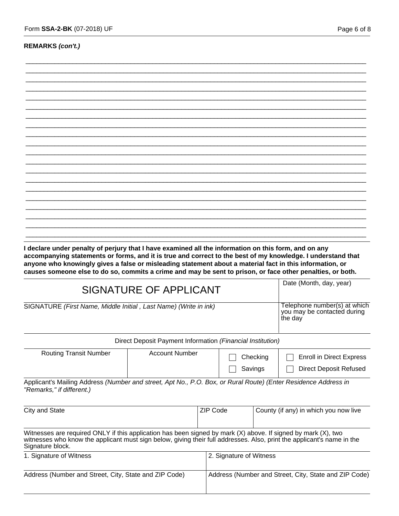#### **REMARKS** *(con't.)*

\_\_\_\_\_\_\_\_\_\_\_\_\_\_\_\_\_\_\_\_\_\_\_\_\_\_\_\_\_\_\_\_\_\_\_\_\_\_\_\_\_\_\_\_\_\_\_\_\_\_\_\_\_\_\_\_\_\_\_\_\_\_\_\_\_\_\_\_\_\_\_\_\_\_\_\_\_\_\_\_\_\_\_\_\_\_\_\_\_\_\_\_\_\_ \_\_\_\_\_\_\_\_\_\_\_\_\_\_\_\_\_\_\_\_\_\_\_\_\_\_\_\_\_\_\_\_\_\_\_\_\_\_\_\_\_\_\_\_\_\_\_\_\_\_\_\_\_\_\_\_\_\_\_\_\_\_\_\_\_\_\_\_\_\_\_\_\_\_\_\_\_\_\_\_\_\_\_\_\_\_\_\_\_\_\_\_\_\_

**accompanying statements or forms, and it is true and correct to the best of my knowledge. I understand that anyone who knowingly gives a false or misleading statement about a material fact in this information, or causes someone else to do so, commits a crime and may be sent to prison, or face other penalties, or both.**

|                                                                  | SIGNATURE OF APPLICANT                                                 |                     | Date (Month, day, year)                                          |
|------------------------------------------------------------------|------------------------------------------------------------------------|---------------------|------------------------------------------------------------------|
| SIGNATURE (First Name, Middle Initial, Last Name) (Write in ink) | Telephone number(s) at which<br>you may be contacted during<br>the day |                     |                                                                  |
|                                                                  | Direct Deposit Payment Information (Financial Institution)             |                     |                                                                  |
| <b>Routing Transit Number</b>                                    | <b>Account Number</b>                                                  | Checking<br>Savings | <b>Enroll in Direct Express</b><br><b>Direct Deposit Refused</b> |
| .<br>$\sqrt{2}$                                                  |                                                                        |                     |                                                                  |

Applicant's Mailing Address *(Number and street, Apt No., P.O. Box, or Rural Route) (Enter Residence Address in "Remarks," if different.)*

| City and State                                                                                                                                                                                                                                              | ZIP Code                | County (if any) in which you now live                 |
|-------------------------------------------------------------------------------------------------------------------------------------------------------------------------------------------------------------------------------------------------------------|-------------------------|-------------------------------------------------------|
| Witnesses are required ONLY if this application has been signed by mark (X) above. If signed by mark (X), two<br>witnesses who know the applicant must sign below, giving their full addresses. Also, print the applicant's name in the<br>Signature block. |                         |                                                       |
| 1. Signature of Witness                                                                                                                                                                                                                                     | 2. Signature of Witness |                                                       |
| Address (Number and Street, City, State and ZIP Code)                                                                                                                                                                                                       |                         | Address (Number and Street, City, State and ZIP Code) |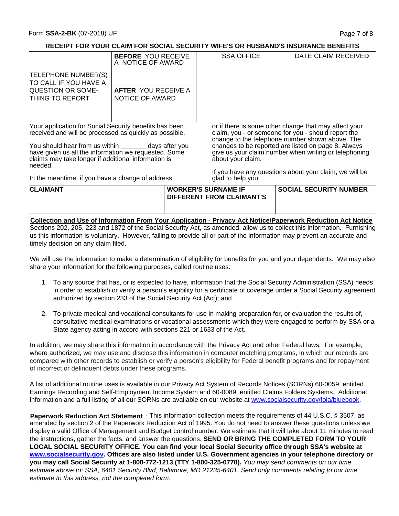#### **CLAIMANT RECEIPT FOR YOUR CLAIM FOR SOCIAL SECURITY WIFE'S OR HUSBAND'S INSURANCE BENEFITS** Your application for Social Security benefits has been received and will be processed as quickly as possible. You should hear from us within **coocing** days after you have given us all the information we requested. Some claims may take longer if additional information is needed. In the meantime, if you have a change of address, TELEPHONE NUMBER(S) TO CALL IF YOU HAVE A QUESTION OR SOME-THING TO REPORT DATE CLAIM RECEIVED or if there is some other change that may affect your claim, you - or someone for you - should report the change to the telephone number shown above. The changes to be reported are listed on page 8. Always give us your claim number when writing or telephoning about your claim. If you have any questions about your claim, we will be glad to help you. **WORKER'S SURNAME IF SOCIAL SECURITY NUMBER DIFFERENT FROM CLAIMANT'S BEFORE** YOU RECEIVE A NOTICE OF AWARD **AFTER** YOU RECEIVE A NOTICE OF AWARD SSA OFFICE **Collection and Use of Information From Your Application - Privacy Act Notice/Paperwork Reduction Act Notice**

Sections 202, 205, 223 and 1872 of the Social Security Act, as amended, allow us to collect this information. Furnishing us this information is voluntary. However, failing to provide all or part of the information may prevent an accurate and timely decision on any claim filed.

We will use the information to make a determination of eligibility for benefits for you and your dependents. We may also share your information for the following purposes, called routine uses:

- 1. To any source that has, or is expected to have, information that the Social Security Administration (SSA) needs in order to establish or verify a person's eligibility for a certificate of coverage under a Social Security agreement authorized by section 233 of the Social Security Act (Act); and
- 2. To private medical and vocational consultants for use in making preparation for, or evaluation the results of, consultative medical examinations or vocational assessments which they were engaged to perform by SSA or a State agency acting in accord with sections 221 or 1633 of the Act.

In addition, we may share this information in accordance with the Privacy Act and other Federal laws. For example, where authorized, we may use and disclose this information in computer matching programs, in which our records are compared with other records to establish or verify a person's eligibility for Federal benefit programs and for repayment of incorrect or delinquent debts under these programs.

A list of additional routine uses is available in our Privacy Act System of Records Notices (SORNs) 60-0059, entitled Earnings Recording and Self-Employment Income System and 60-0089, entitled Claims Folders Systems. Additional information and a full listing of all our SORNs are available on our website at www.socialsecurity.gov/foia/bluebook.

**Paperwork Reduction Act Statement** - This information collection meets the requirements of 44 U.S.C. § 3507, as amended by section 2 of the Paperwork Reduction Act of 1995. You do not need to answer these questions unless we display a valid Office of Management and Budget control number. We estimate that it will take about 11 minutes to read the instructions, gather the facts, and answer the questions. **SEND OR BRING THE COMPLETED FORM TO YOUR LOCAL SOCIAL SECURITY OFFICE. You can find your local Social Security office through SSA's website at www.socialsecurity.gov. Offices are also listed under U.S. Government agencies in your telephone directory or you may call Social Security at 1-800-772-1213 (TTY 1-800-325-0778).** *You may send comments on our time estimate above to: SSA, 6401 Security Blvd, Baltimore, MD 21235-6401. Send only comments relating to our time estimate to this address, not the completed form.*